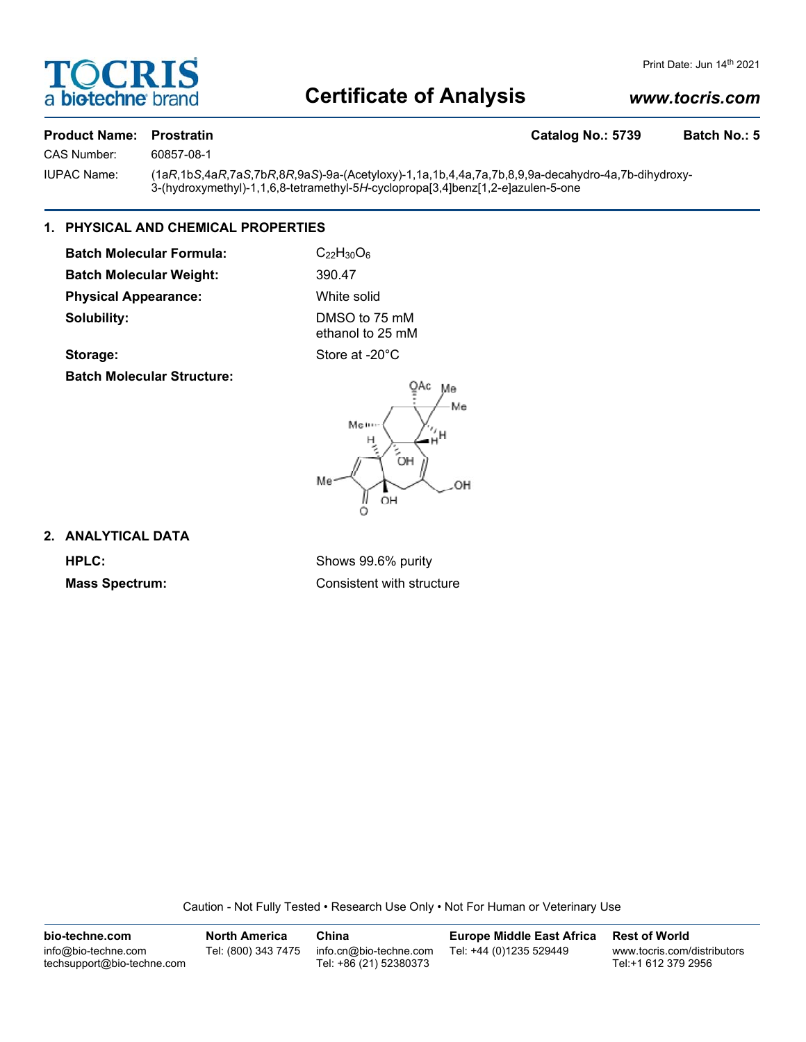

# **Certificate of Analysis**

# *www.tocris.com*

### **Product Name: Prostratin Catalog No.: 5739 Batch No.: 5**

CAS Number: 60857-08-1

IUPAC Name: (1a*R*,1b*S*,4a*R*,7a*S*,7b*R*,8*R*,9a*S*)-9a-(Acetyloxy)-1,1a,1b,4,4a,7a,7b,8,9,9a-decahydro-4a,7b-dihydroxy-3-(hydroxymethyl)-1,1,6,8-tetramethyl-5*H*-cyclopropa[3,4]benz[1,2-*e*]azulen-5-one

### **1. PHYSICAL AND CHEMICAL PROPERTIES**

**Batch Molecular Formula:** C<sub>22</sub>H<sub>30</sub>O<sub>6</sub> **Batch Molecular Weight:** 390.47 **Physical Appearance:** White solid **Solubility:** DMSO to 75 mM

ethanol to 25 mM

Storage: Store at -20°C

**Batch Molecular Structure:**



## **2. ANALYTICAL DATA**

**HPLC:** Shows 99.6% purity **Mass Spectrum:** Consistent with structure

Caution - Not Fully Tested • Research Use Only • Not For Human or Veterinary Use